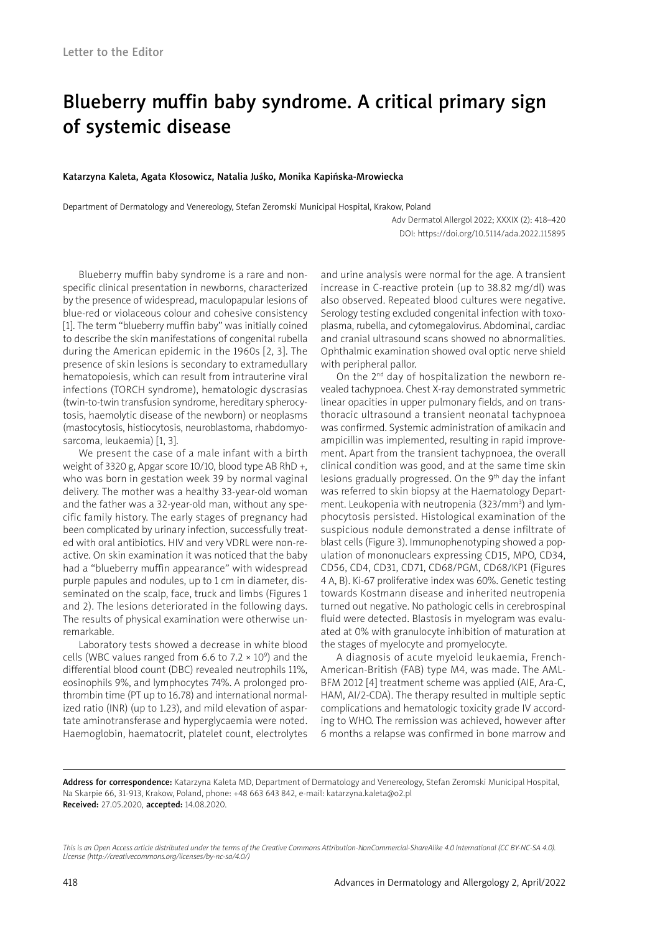# Blueberry muffin baby syndrome. A critical primary sign of systemic disease

#### Katarzyna Kaleta, Agata Kłosowicz, Natalia Juśko, Monika Kapińska-Mrowiecka

Department of Dermatology and Venereology, Stefan Zeromski Municipal Hospital, Krakow, Poland

Adv Dermatol Allergol 2022; XXXIX (2): 418–420 DOI: https://doi.org/10.5114/ada.2022.115895

Blueberry muffin baby syndrome is a rare and nonspecific clinical presentation in newborns, characterized by the presence of widespread, maculopapular lesions of blue-red or violaceous colour and cohesive consistency [1]. The term "blueberry muffin baby" was initially coined to describe the skin manifestations of congenital rubella during the American epidemic in the 1960s [2, 3]. The presence of skin lesions is secondary to extramedullary hematopoiesis, which can result from intrauterine viral infections (TORCH syndrome), hematologic dyscrasias (twin-to-twin transfusion syndrome, hereditary spherocytosis, haemolytic disease of the newborn) or neoplasms (mastocytosis, histiocytosis, neuroblastoma, rhabdomyosarcoma, leukaemia) [1, 3].

We present the case of a male infant with a birth weight of 3320 g, Apgar score 10/10, blood type AB RhD +, who was born in gestation week 39 by normal vaginal delivery. The mother was a healthy 33-year-old woman and the father was a 32-year-old man, without any specific family history. The early stages of pregnancy had been complicated by urinary infection, successfully treated with oral antibiotics. HIV and very VDRL were non-reactive. On skin examination it was noticed that the baby had a "blueberry muffin appearance" with widespread purple papules and nodules, up to 1 cm in diameter, disseminated on the scalp, face, truck and limbs (Figures 1 and 2). The lesions deteriorated in the following days. The results of physical examination were otherwise unremarkable.

Laboratory tests showed a decrease in white blood cells (WBC values ranged from 6.6 to 7.2  $\times$  10<sup>9</sup>) and the differential blood count (DBC) revealed neutrophils 11%, eosinophils 9%, and lymphocytes 74%. A prolonged prothrombin time (PT up to 16.78) and international normalized ratio (INR) (up to 1.23), and mild elevation of aspartate aminotransferase and hyperglycaemia were noted. Haemoglobin, haematocrit, platelet count, electrolytes

and urine analysis were normal for the age. A transient increase in C-reactive protein (up to 38.82 mg/dl) was also observed. Repeated blood cultures were negative. Serology testing excluded congenital infection with toxoplasma, rubella, and cytomegalovirus. Abdominal, cardiac and cranial ultrasound scans showed no abnormalities. Ophthalmic examination showed oval optic nerve shield with peripheral pallor.

On the 2<sup>nd</sup> day of hospitalization the newborn revealed tachypnoea. Chest X-ray demonstrated symmetric linear opacities in upper pulmonary fields, and on transthoracic ultrasound a transient neonatal tachypnoea was confirmed. Systemic administration of amikacin and ampicillin was implemented, resulting in rapid improvement. Apart from the transient tachypnoea, the overall clinical condition was good, and at the same time skin lesions gradually progressed. On the 9th day the infant was referred to skin biopsy at the Haematology Department. Leukopenia with neutropenia (323/mm<sup>3</sup>) and lymphocytosis persisted. Histological examination of the suspicious nodule demonstrated a dense infiltrate of blast cells (Figure 3). Immunophenotyping showed a population of mononuclears expressing CD15, MPO, CD34, CD56, CD4, CD31, CD71, CD68/PGM, CD68/KP1 (Figures 4 A, B). Ki-67 proliferative index was 60%. Genetic testing towards Kostmann disease and inherited neutropenia turned out negative. No pathologic cells in cerebrospinal fluid were detected. Blastosis in myelogram was evaluated at 0% with granulocyte inhibition of maturation at the stages of myelocyte and promyelocyte.

A diagnosis of acute myeloid leukaemia, French-American-British (FAB) type M4, was made. The AML-BFM 2012 [4] treatment scheme was applied (AIE, Ara-C, HAM, AI/2-CDA). The therapy resulted in multiple septic complications and hematologic toxicity grade IV according to WHO. The remission was achieved, however after 6 months a relapse was confirmed in bone marrow and

Address for correspondence: Katarzyna Kaleta MD, Department of Dermatology and Venereology, Stefan Zeromski Municipal Hospital, Na Skarpie 66, 31-913, Krakow, Poland, phone: +48 663 643 842, e-mail: katarzyna.kaleta@o2.pl Received: 27.05.2020, accepted: 14.08.2020.

*This is an Open Access article distributed under the terms of the Creative Commons Attribution-NonCommercial-ShareAlike 4.0 International (CC BY-NC-SA 4.0). License (http://creativecommons.org/licenses/by-nc-sa/4.0/)*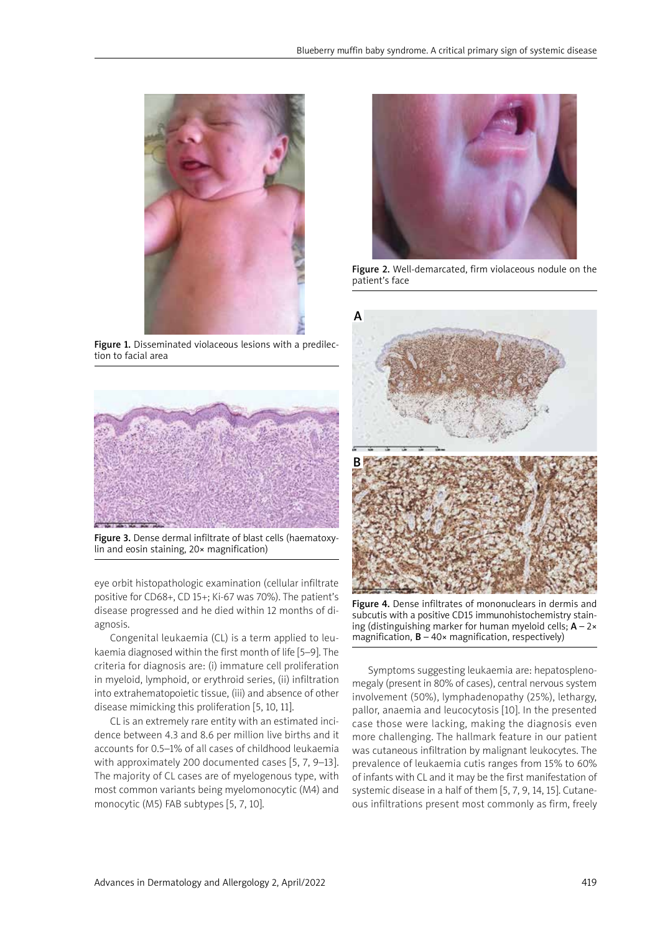

Figure 1. Disseminated violaceous lesions with a predilection to facial area



Figure 3. Dense dermal infiltrate of blast cells (haematoxylin and eosin staining, 20× magnification)

eye orbit histopathologic examination (cellular infiltrate positive for CD68+, CD 15+; Ki-67 was 70%). The patient's disease progressed and he died within 12 months of diagnosis.

Congenital leukaemia (CL) is a term applied to leukaemia diagnosed within the first month of life [5–9]. The criteria for diagnosis are: (i) immature cell proliferation in myeloid, lymphoid, or erythroid series, (ii) infiltration into extrahematopoietic tissue, (iii) and absence of other disease mimicking this proliferation [5, 10, 11].

CL is an extremely rare entity with an estimated incidence between 4.3 and 8.6 per million live births and it accounts for 0.5–1% of all cases of childhood leukaemia with approximately 200 documented cases [5, 7, 9–13]. The majority of CL cases are of myelogenous type, with most common variants being myelomonocytic (M4) and monocytic (M5) FAB subtypes [5, 7, 10].



Figure 2. Well-demarcated, firm violaceous nodule on the patient's face



Figure 4. Dense infiltrates of mononuclears in dermis and subcutis with a positive CD15 immunohistochemistry staining (distinguishing marker for human myeloid cells;  $A - 2 \times$ magnification,  $B - 40 \times$  magnification, respectively)

Symptoms suggesting leukaemia are: hepatosplenomegaly (present in 80% of cases), central nervous system involvement (50%), lymphadenopathy (25%), lethargy, pallor, anaemia and leucocytosis [10]. In the presented case those were lacking, making the diagnosis even more challenging. The hallmark feature in our patient was cutaneous infiltration by malignant leukocytes. The prevalence of leukaemia cutis ranges from 15% to 60% of infants with CL and it may be the first manifestation of systemic disease in a half of them [5, 7, 9, 14, 15]. Cutaneous infiltrations present most commonly as firm, freely